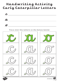# **Handwriting Activity Curly Caterpillar Letters**







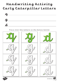# **Handwriting Activity Curly Caterpillar Letters**







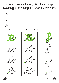# **Handwriting Activity Curly Caterpillar Letters**





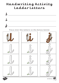# **Handwriting Activity Ladder Letters**







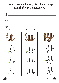#### **Handwriting Activity Ladder Letters**









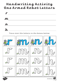# **Handwriting Activity One Armed Robot Letters**







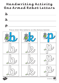# **Handwriting Activity One Armed Robot Letters**